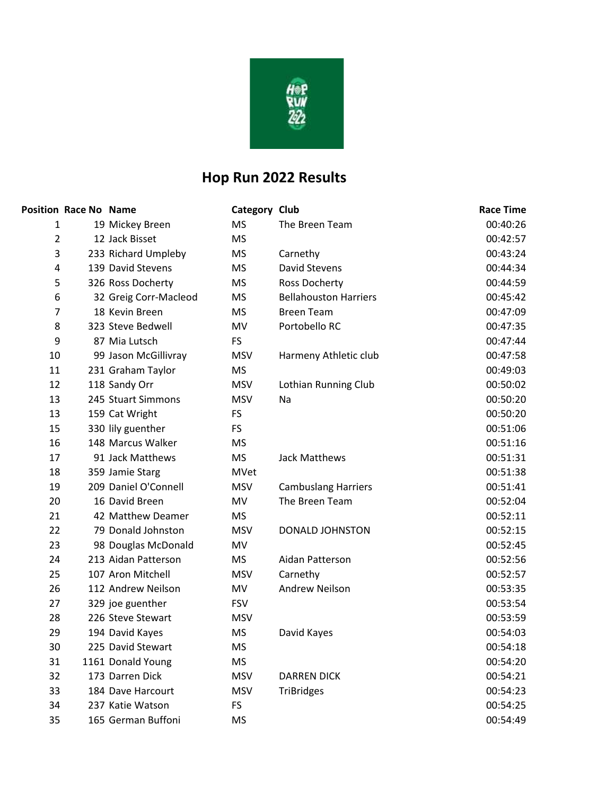

## **Hop Run 2022 Results**

|                         | <b>Position Race No Name</b> |                       | <b>Category Club</b> |                              | <b>Race Time</b> |
|-------------------------|------------------------------|-----------------------|----------------------|------------------------------|------------------|
| 1                       |                              | 19 Mickey Breen       | <b>MS</b>            | The Breen Team               | 00:40:26         |
| $\overline{2}$          |                              | 12 Jack Bisset        | <b>MS</b>            |                              | 00:42:57         |
| 3                       |                              | 233 Richard Umpleby   | <b>MS</b>            | Carnethy                     | 00:43:24         |
| $\overline{\mathbf{4}}$ |                              | 139 David Stevens     | <b>MS</b>            | <b>David Stevens</b>         | 00:44:34         |
| 5                       |                              | 326 Ross Docherty     | <b>MS</b>            | <b>Ross Docherty</b>         | 00:44:59         |
| 6                       |                              | 32 Greig Corr-Macleod | <b>MS</b>            | <b>Bellahouston Harriers</b> | 00:45:42         |
| $\overline{7}$          |                              | 18 Kevin Breen        | <b>MS</b>            | <b>Breen Team</b>            | 00:47:09         |
| 8                       |                              | 323 Steve Bedwell     | <b>MV</b>            | Portobello RC                | 00:47:35         |
| 9                       |                              | 87 Mia Lutsch         | <b>FS</b>            |                              | 00:47:44         |
| 10                      |                              | 99 Jason McGillivray  | <b>MSV</b>           | Harmeny Athletic club        | 00:47:58         |
| 11                      |                              | 231 Graham Taylor     | <b>MS</b>            |                              | 00:49:03         |
| 12                      |                              | 118 Sandy Orr         | <b>MSV</b>           | Lothian Running Club         | 00:50:02         |
| 13                      |                              | 245 Stuart Simmons    | <b>MSV</b>           | Na                           | 00:50:20         |
| 13                      |                              | 159 Cat Wright        | <b>FS</b>            |                              | 00:50:20         |
| 15                      |                              | 330 lily guenther     | <b>FS</b>            |                              | 00:51:06         |
| 16                      |                              | 148 Marcus Walker     | <b>MS</b>            |                              | 00:51:16         |
| 17                      |                              | 91 Jack Matthews      | <b>MS</b>            | Jack Matthews                | 00:51:31         |
| 18                      |                              | 359 Jamie Starg       | MVet                 |                              | 00:51:38         |
| 19                      |                              | 209 Daniel O'Connell  | <b>MSV</b>           | <b>Cambuslang Harriers</b>   | 00:51:41         |
| 20                      |                              | 16 David Breen        | MV                   | The Breen Team               | 00:52:04         |
| 21                      |                              | 42 Matthew Deamer     | <b>MS</b>            |                              | 00:52:11         |
| 22                      |                              | 79 Donald Johnston    | <b>MSV</b>           | DONALD JOHNSTON              | 00:52:15         |
| 23                      |                              | 98 Douglas McDonald   | MV                   |                              | 00:52:45         |
| 24                      |                              | 213 Aidan Patterson   | <b>MS</b>            | Aidan Patterson              | 00:52:56         |
| 25                      |                              | 107 Aron Mitchell     | <b>MSV</b>           | Carnethy                     | 00:52:57         |
| 26                      |                              | 112 Andrew Neilson    | MV                   | <b>Andrew Neilson</b>        | 00:53:35         |
| 27                      |                              | 329 joe guenther      | <b>FSV</b>           |                              | 00:53:54         |
| 28                      |                              | 226 Steve Stewart     | <b>MSV</b>           |                              | 00:53:59         |
| 29                      |                              | 194 David Kayes       | <b>MS</b>            | David Kayes                  | 00:54:03         |
| 30                      |                              | 225 David Stewart     | <b>MS</b>            |                              | 00:54:18         |
| 31                      |                              | 1161 Donald Young     | <b>MS</b>            |                              | 00:54:20         |
| 32                      |                              | 173 Darren Dick       | <b>MSV</b>           | <b>DARREN DICK</b>           | 00:54:21         |
| 33                      |                              | 184 Dave Harcourt     | <b>MSV</b>           | <b>TriBridges</b>            | 00:54:23         |
| 34                      |                              | 237 Katie Watson      | <b>FS</b>            |                              | 00:54:25         |
| 35                      |                              | 165 German Buffoni    | <b>MS</b>            |                              | 00:54:49         |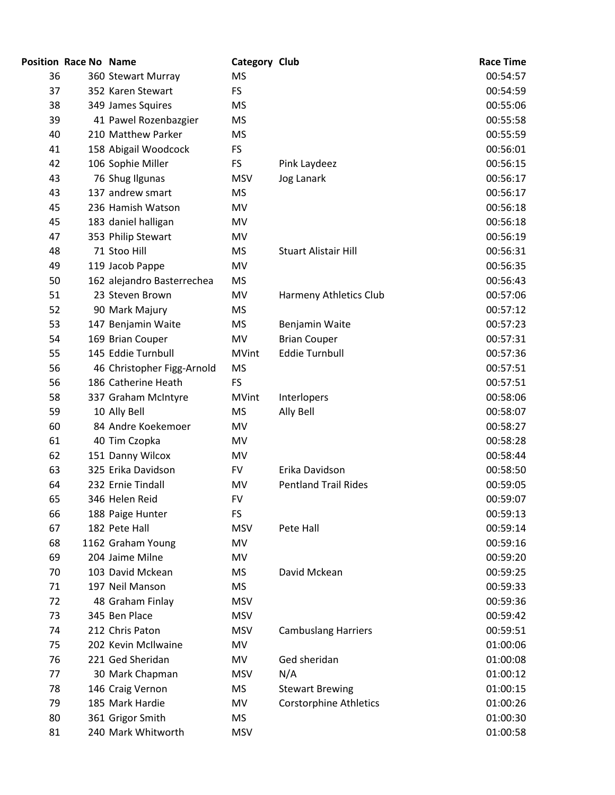|    | <b>Position Race No Name</b> |                            | Category Club |                               | <b>Race Time</b> |
|----|------------------------------|----------------------------|---------------|-------------------------------|------------------|
| 36 |                              | 360 Stewart Murray         | <b>MS</b>     |                               | 00:54:57         |
| 37 |                              | 352 Karen Stewart          | <b>FS</b>     |                               | 00:54:59         |
| 38 |                              | 349 James Squires          | <b>MS</b>     |                               | 00:55:06         |
| 39 |                              | 41 Pawel Rozenbazgier      | <b>MS</b>     |                               | 00:55:58         |
| 40 |                              | 210 Matthew Parker         | <b>MS</b>     |                               | 00:55:59         |
| 41 |                              | 158 Abigail Woodcock       | <b>FS</b>     |                               | 00:56:01         |
| 42 |                              | 106 Sophie Miller          | <b>FS</b>     | Pink Laydeez                  | 00:56:15         |
| 43 |                              | 76 Shug Ilgunas            | <b>MSV</b>    | Jog Lanark                    | 00:56:17         |
| 43 |                              | 137 andrew smart           | <b>MS</b>     |                               | 00:56:17         |
| 45 |                              | 236 Hamish Watson          | MV            |                               | 00:56:18         |
| 45 |                              | 183 daniel halligan        | MV            |                               | 00:56:18         |
| 47 |                              | 353 Philip Stewart         | MV            |                               | 00:56:19         |
| 48 |                              | 71 Stoo Hill               | <b>MS</b>     | <b>Stuart Alistair Hill</b>   | 00:56:31         |
| 49 |                              | 119 Jacob Pappe            | MV            |                               | 00:56:35         |
| 50 |                              | 162 alejandro Basterrechea | <b>MS</b>     |                               | 00:56:43         |
| 51 |                              | 23 Steven Brown            | MV            | Harmeny Athletics Club        | 00:57:06         |
| 52 |                              | 90 Mark Majury             | <b>MS</b>     |                               | 00:57:12         |
| 53 |                              | 147 Benjamin Waite         | <b>MS</b>     | Benjamin Waite                | 00:57:23         |
| 54 |                              | 169 Brian Couper           | MV            | <b>Brian Couper</b>           | 00:57:31         |
| 55 |                              | 145 Eddie Turnbull         | <b>MVint</b>  | <b>Eddie Turnbull</b>         | 00:57:36         |
| 56 |                              | 46 Christopher Figg-Arnold | <b>MS</b>     |                               | 00:57:51         |
| 56 |                              | 186 Catherine Heath        | <b>FS</b>     |                               | 00:57:51         |
| 58 |                              | 337 Graham McIntyre        | <b>MVint</b>  | Interlopers                   | 00:58:06         |
| 59 |                              | 10 Ally Bell               | <b>MS</b>     | Ally Bell                     | 00:58:07         |
| 60 |                              | 84 Andre Koekemoer         | MV            |                               | 00:58:27         |
| 61 |                              | 40 Tim Czopka              | MV            |                               | 00:58:28         |
| 62 |                              | 151 Danny Wilcox           | MV            |                               | 00:58:44         |
| 63 |                              | 325 Erika Davidson         | <b>FV</b>     | Erika Davidson                | 00:58:50         |
| 64 |                              | 232 Ernie Tindall          | MV            | <b>Pentland Trail Rides</b>   | 00:59:05         |
| 65 |                              | 346 Helen Reid             | FV            |                               | 00:59:07         |
| 66 |                              | 188 Paige Hunter           | FS            |                               | 00:59:13         |
| 67 |                              | 182 Pete Hall              | <b>MSV</b>    | Pete Hall                     | 00:59:14         |
| 68 |                              | 1162 Graham Young          | MV            |                               | 00:59:16         |
| 69 |                              | 204 Jaime Milne            | MV            |                               | 00:59:20         |
| 70 |                              | 103 David Mckean           | <b>MS</b>     | David Mckean                  | 00:59:25         |
| 71 |                              | 197 Neil Manson            | <b>MS</b>     |                               | 00:59:33         |
| 72 |                              | 48 Graham Finlay           | <b>MSV</b>    |                               | 00:59:36         |
| 73 |                              | 345 Ben Place              | <b>MSV</b>    |                               | 00:59:42         |
| 74 |                              | 212 Chris Paton            | <b>MSV</b>    | <b>Cambuslang Harriers</b>    | 00:59:51         |
| 75 |                              | 202 Kevin McIlwaine        | MV            |                               | 01:00:06         |
| 76 |                              | 221 Ged Sheridan           | MV            | Ged sheridan                  | 01:00:08         |
| 77 |                              | 30 Mark Chapman            | <b>MSV</b>    | N/A                           | 01:00:12         |
| 78 |                              | 146 Craig Vernon           | <b>MS</b>     | <b>Stewart Brewing</b>        | 01:00:15         |
| 79 |                              | 185 Mark Hardie            | MV            | <b>Corstorphine Athletics</b> | 01:00:26         |
| 80 |                              | 361 Grigor Smith           | MS            |                               | 01:00:30         |
| 81 |                              | 240 Mark Whitworth         | <b>MSV</b>    |                               | 01:00:58         |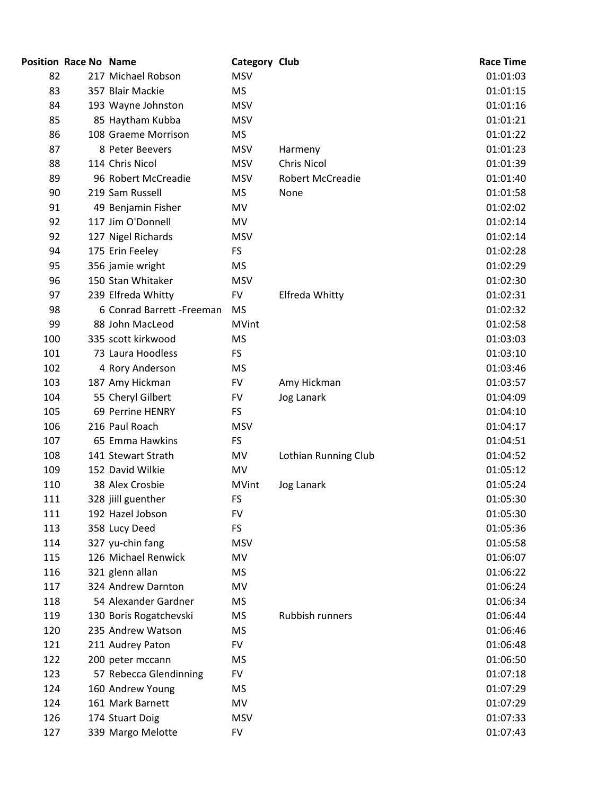|     | <b>Position Race No Name</b> |                            | <b>Category Club</b> |                         | <b>Race Time</b> |
|-----|------------------------------|----------------------------|----------------------|-------------------------|------------------|
| 82  |                              | 217 Michael Robson         | <b>MSV</b>           |                         | 01:01:03         |
| 83  |                              | 357 Blair Mackie           | <b>MS</b>            |                         | 01:01:15         |
| 84  |                              | 193 Wayne Johnston         | <b>MSV</b>           |                         | 01:01:16         |
| 85  |                              | 85 Haytham Kubba           | <b>MSV</b>           |                         | 01:01:21         |
| 86  |                              | 108 Graeme Morrison        | <b>MS</b>            |                         | 01:01:22         |
| 87  |                              | 8 Peter Beevers            | <b>MSV</b>           | Harmeny                 | 01:01:23         |
| 88  |                              | 114 Chris Nicol            | <b>MSV</b>           | <b>Chris Nicol</b>      | 01:01:39         |
| 89  |                              | 96 Robert McCreadie        | <b>MSV</b>           | <b>Robert McCreadie</b> | 01:01:40         |
| 90  |                              | 219 Sam Russell            | <b>MS</b>            | None                    | 01:01:58         |
| 91  |                              | 49 Benjamin Fisher         | MV                   |                         | 01:02:02         |
| 92  |                              | 117 Jim O'Donnell          | MV                   |                         | 01:02:14         |
| 92  |                              | 127 Nigel Richards         | <b>MSV</b>           |                         | 01:02:14         |
| 94  |                              | 175 Erin Feeley            | FS.                  |                         | 01:02:28         |
| 95  |                              | 356 jamie wright           | <b>MS</b>            |                         | 01:02:29         |
| 96  |                              | 150 Stan Whitaker          | <b>MSV</b>           |                         | 01:02:30         |
| 97  |                              | 239 Elfreda Whitty         | <b>FV</b>            | Elfreda Whitty          | 01:02:31         |
| 98  |                              | 6 Conrad Barrett - Freeman | <b>MS</b>            |                         | 01:02:32         |
| 99  |                              | 88 John MacLeod            | <b>MVint</b>         |                         | 01:02:58         |
| 100 |                              | 335 scott kirkwood         | <b>MS</b>            |                         | 01:03:03         |
| 101 |                              | 73 Laura Hoodless          | <b>FS</b>            |                         | 01:03:10         |
| 102 |                              | 4 Rory Anderson            | <b>MS</b>            |                         | 01:03:46         |
| 103 |                              | 187 Amy Hickman            | <b>FV</b>            | Amy Hickman             | 01:03:57         |
| 104 |                              | 55 Cheryl Gilbert          | <b>FV</b>            | Jog Lanark              | 01:04:09         |
| 105 |                              | 69 Perrine HENRY           | <b>FS</b>            |                         | 01:04:10         |
| 106 |                              | 216 Paul Roach             | <b>MSV</b>           |                         | 01:04:17         |
| 107 |                              | 65 Emma Hawkins            | FS                   |                         | 01:04:51         |
| 108 |                              | 141 Stewart Strath         | MV                   | Lothian Running Club    | 01:04:52         |
| 109 |                              | 152 David Wilkie           | MV                   |                         | 01:05:12         |
| 110 |                              | 38 Alex Crosbie            | <b>MVint</b>         | Jog Lanark              | 01:05:24         |
| 111 |                              | 328 jiill guenther         | FS                   |                         | 01:05:30         |
| 111 |                              | 192 Hazel Jobson           | <b>FV</b>            |                         | 01:05:30         |
| 113 |                              | 358 Lucy Deed              | <b>FS</b>            |                         | 01:05:36         |
| 114 |                              | 327 yu-chin fang           | <b>MSV</b>           |                         | 01:05:58         |
| 115 |                              | 126 Michael Renwick        | MV                   |                         | 01:06:07         |
| 116 |                              | 321 glenn allan            | <b>MS</b>            |                         | 01:06:22         |
| 117 |                              | 324 Andrew Darnton         | MV                   |                         | 01:06:24         |
| 118 |                              | 54 Alexander Gardner       | <b>MS</b>            |                         | 01:06:34         |
| 119 |                              | 130 Boris Rogatchevski     | MS                   | <b>Rubbish runners</b>  | 01:06:44         |
| 120 |                              | 235 Andrew Watson          | <b>MS</b>            |                         | 01:06:46         |
| 121 |                              | 211 Audrey Paton           | <b>FV</b>            |                         | 01:06:48         |
| 122 |                              | 200 peter mccann           | <b>MS</b>            |                         | 01:06:50         |
| 123 |                              | 57 Rebecca Glendinning     | <b>FV</b>            |                         | 01:07:18         |
| 124 |                              | 160 Andrew Young           | <b>MS</b>            |                         | 01:07:29         |
| 124 |                              | 161 Mark Barnett           | MV                   |                         | 01:07:29         |
| 126 |                              | 174 Stuart Doig            | <b>MSV</b>           |                         | 01:07:33         |
| 127 |                              | 339 Margo Melotte          | <b>FV</b>            |                         | 01:07:43         |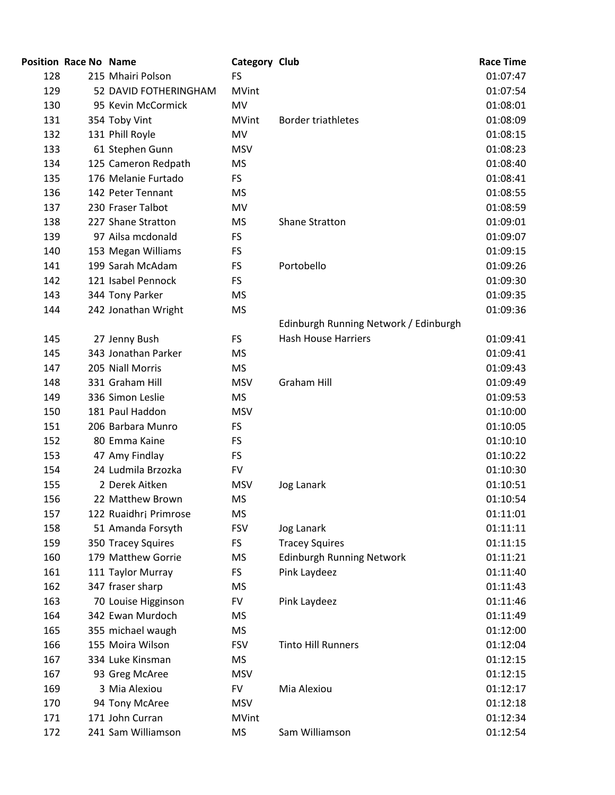|     | <b>Position Race No Name</b> |                       | Category Club |                                       | <b>Race Time</b> |
|-----|------------------------------|-----------------------|---------------|---------------------------------------|------------------|
| 128 |                              | 215 Mhairi Polson     | <b>FS</b>     |                                       | 01:07:47         |
| 129 |                              | 52 DAVID FOTHERINGHAM | <b>MVint</b>  |                                       | 01:07:54         |
| 130 |                              | 95 Kevin McCormick    | MV            |                                       | 01:08:01         |
| 131 |                              | 354 Toby Vint         | <b>MVint</b>  | <b>Border triathletes</b>             | 01:08:09         |
| 132 |                              | 131 Phill Royle       | <b>MV</b>     |                                       | 01:08:15         |
| 133 |                              | 61 Stephen Gunn       | <b>MSV</b>    |                                       | 01:08:23         |
| 134 |                              | 125 Cameron Redpath   | <b>MS</b>     |                                       | 01:08:40         |
| 135 |                              | 176 Melanie Furtado   | <b>FS</b>     |                                       | 01:08:41         |
| 136 |                              | 142 Peter Tennant     | <b>MS</b>     |                                       | 01:08:55         |
| 137 |                              | 230 Fraser Talbot     | MV            |                                       | 01:08:59         |
| 138 |                              | 227 Shane Stratton    | <b>MS</b>     | Shane Stratton                        | 01:09:01         |
| 139 |                              | 97 Ailsa mcdonald     | <b>FS</b>     |                                       | 01:09:07         |
| 140 |                              | 153 Megan Williams    | FS            |                                       | 01:09:15         |
| 141 |                              | 199 Sarah McAdam      | <b>FS</b>     | Portobello                            | 01:09:26         |
| 142 |                              | 121 Isabel Pennock    | <b>FS</b>     |                                       | 01:09:30         |
| 143 |                              | 344 Tony Parker       | <b>MS</b>     |                                       | 01:09:35         |
| 144 |                              | 242 Jonathan Wright   | <b>MS</b>     |                                       | 01:09:36         |
|     |                              |                       |               | Edinburgh Running Network / Edinburgh |                  |
| 145 |                              | 27 Jenny Bush         | <b>FS</b>     | <b>Hash House Harriers</b>            | 01:09:41         |
| 145 |                              | 343 Jonathan Parker   | <b>MS</b>     |                                       | 01:09:41         |
| 147 |                              | 205 Niall Morris      | <b>MS</b>     |                                       | 01:09:43         |
| 148 |                              | 331 Graham Hill       | <b>MSV</b>    | <b>Graham Hill</b>                    | 01:09:49         |
| 149 |                              | 336 Simon Leslie      | <b>MS</b>     |                                       | 01:09:53         |
| 150 |                              | 181 Paul Haddon       | <b>MSV</b>    |                                       | 01:10:00         |
| 151 |                              | 206 Barbara Munro     | <b>FS</b>     |                                       | 01:10:05         |
| 152 |                              | 80 Emma Kaine         | FS            |                                       | 01:10:10         |
| 153 |                              | 47 Amy Findlay        | <b>FS</b>     |                                       | 01:10:22         |
| 154 |                              | 24 Ludmila Brzozka    | <b>FV</b>     |                                       | 01:10:30         |
| 155 |                              | 2 Derek Aitken        | <b>MSV</b>    | Jog Lanark                            | 01:10:51         |
| 156 |                              | 22 Matthew Brown      | <b>MS</b>     |                                       | 01:10:54         |
| 157 |                              | 122 Ruaidhrj Primrose | <b>MS</b>     |                                       | 01:11:01         |
| 158 |                              | 51 Amanda Forsyth     | <b>FSV</b>    | <b>Jog Lanark</b>                     | 01:11:11         |
| 159 |                              | 350 Tracey Squires    | <b>FS</b>     | <b>Tracey Squires</b>                 | 01:11:15         |
| 160 |                              | 179 Matthew Gorrie    | <b>MS</b>     | <b>Edinburgh Running Network</b>      | 01:11:21         |
| 161 |                              | 111 Taylor Murray     | FS            | Pink Laydeez                          | 01:11:40         |
| 162 |                              | 347 fraser sharp      | <b>MS</b>     |                                       | 01:11:43         |
| 163 |                              | 70 Louise Higginson   | <b>FV</b>     | Pink Laydeez                          | 01:11:46         |
| 164 |                              | 342 Ewan Murdoch      | <b>MS</b>     |                                       | 01:11:49         |
| 165 |                              | 355 michael waugh     | MS            |                                       | 01:12:00         |
| 166 |                              | 155 Moira Wilson      | <b>FSV</b>    | <b>Tinto Hill Runners</b>             | 01:12:04         |
| 167 |                              | 334 Luke Kinsman      | <b>MS</b>     |                                       | 01:12:15         |
| 167 |                              | 93 Greg McAree        | <b>MSV</b>    |                                       | 01:12:15         |
| 169 |                              | 3 Mia Alexiou         | <b>FV</b>     | Mia Alexiou                           | 01:12:17         |
| 170 |                              | 94 Tony McAree        | <b>MSV</b>    |                                       | 01:12:18         |
| 171 |                              | 171 John Curran       | <b>MVint</b>  |                                       | 01:12:34         |
| 172 |                              | 241 Sam Williamson    | <b>MS</b>     | Sam Williamson                        | 01:12:54         |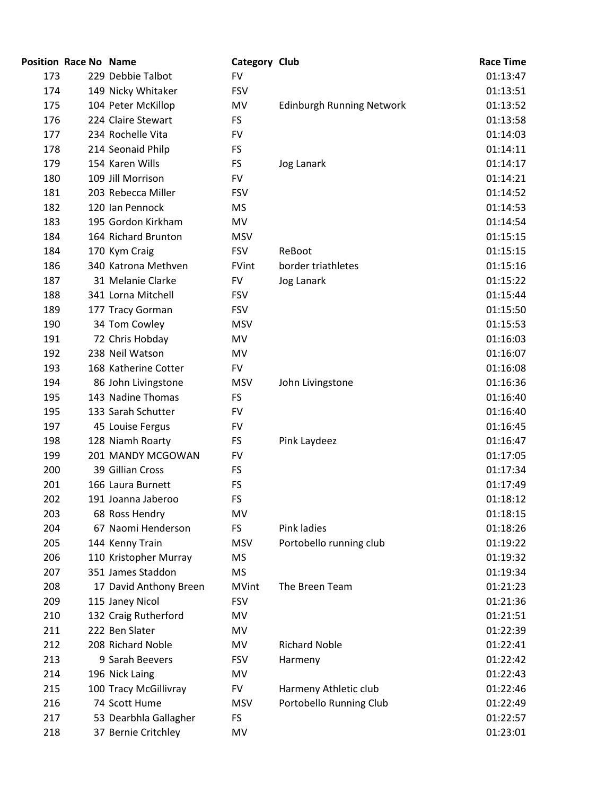|     | <b>Position Race No Name</b> |                        | <b>Category Club</b> |                           | <b>Race Time</b> |
|-----|------------------------------|------------------------|----------------------|---------------------------|------------------|
| 173 |                              | 229 Debbie Talbot      | <b>FV</b>            |                           | 01:13:47         |
| 174 |                              | 149 Nicky Whitaker     | <b>FSV</b>           |                           | 01:13:51         |
| 175 |                              | 104 Peter McKillop     | MV                   | Edinburgh Running Network | 01:13:52         |
| 176 |                              | 224 Claire Stewart     | <b>FS</b>            |                           | 01:13:58         |
| 177 |                              | 234 Rochelle Vita      | <b>FV</b>            |                           | 01:14:03         |
| 178 |                              | 214 Seonaid Philp      | <b>FS</b>            |                           | 01:14:11         |
| 179 |                              | 154 Karen Wills        | <b>FS</b>            | Jog Lanark                | 01:14:17         |
| 180 |                              | 109 Jill Morrison      | <b>FV</b>            |                           | 01:14:21         |
| 181 |                              | 203 Rebecca Miller     | <b>FSV</b>           |                           | 01:14:52         |
| 182 |                              | 120 Ian Pennock        | <b>MS</b>            |                           | 01:14:53         |
| 183 |                              | 195 Gordon Kirkham     | MV                   |                           | 01:14:54         |
| 184 |                              | 164 Richard Brunton    | <b>MSV</b>           |                           | 01:15:15         |
| 184 |                              | 170 Kym Craig          | <b>FSV</b>           | ReBoot                    | 01:15:15         |
| 186 |                              | 340 Katrona Methven    | FVint                | border triathletes        | 01:15:16         |
| 187 |                              | 31 Melanie Clarke      | <b>FV</b>            | Jog Lanark                | 01:15:22         |
| 188 |                              | 341 Lorna Mitchell     | <b>FSV</b>           |                           | 01:15:44         |
| 189 |                              | 177 Tracy Gorman       | <b>FSV</b>           |                           | 01:15:50         |
| 190 |                              | 34 Tom Cowley          | <b>MSV</b>           |                           | 01:15:53         |
| 191 |                              | 72 Chris Hobday        | MV                   |                           | 01:16:03         |
| 192 |                              | 238 Neil Watson        | MV                   |                           | 01:16:07         |
| 193 |                              | 168 Katherine Cotter   | <b>FV</b>            |                           | 01:16:08         |
| 194 |                              | 86 John Livingstone    | <b>MSV</b>           | John Livingstone          | 01:16:36         |
| 195 |                              | 143 Nadine Thomas      | <b>FS</b>            |                           | 01:16:40         |
| 195 |                              | 133 Sarah Schutter     | <b>FV</b>            |                           | 01:16:40         |
| 197 |                              | 45 Louise Fergus       | <b>FV</b>            |                           | 01:16:45         |
| 198 |                              | 128 Niamh Roarty       | <b>FS</b>            | Pink Laydeez              | 01:16:47         |
| 199 |                              | 201 MANDY MCGOWAN      | <b>FV</b>            |                           | 01:17:05         |
| 200 |                              | 39 Gillian Cross       | FS.                  |                           | 01:17:34         |
| 201 |                              | 166 Laura Burnett      | FS                   |                           | 01:17:49         |
| 202 |                              | 191 Joanna Jaberoo     | FS                   |                           | 01:18:12         |
| 203 |                              | 68 Ross Hendry         | MV                   |                           | 01:18:15         |
| 204 |                              | 67 Naomi Henderson     | <b>FS</b>            | Pink ladies               | 01:18:26         |
| 205 |                              | 144 Kenny Train        | <b>MSV</b>           | Portobello running club   | 01:19:22         |
| 206 |                              | 110 Kristopher Murray  | <b>MS</b>            |                           | 01:19:32         |
| 207 |                              | 351 James Staddon      | <b>MS</b>            |                           | 01:19:34         |
| 208 |                              | 17 David Anthony Breen | <b>MVint</b>         | The Breen Team            | 01:21:23         |
| 209 |                              | 115 Janey Nicol        | <b>FSV</b>           |                           | 01:21:36         |
| 210 |                              | 132 Craig Rutherford   | MV                   |                           | 01:21:51         |
| 211 |                              | 222 Ben Slater         | MV                   |                           | 01:22:39         |
| 212 |                              | 208 Richard Noble      | MV                   | <b>Richard Noble</b>      | 01:22:41         |
| 213 |                              | 9 Sarah Beevers        | <b>FSV</b>           | Harmeny                   | 01:22:42         |
| 214 |                              | 196 Nick Laing         | MV                   |                           | 01:22:43         |
| 215 |                              | 100 Tracy McGillivray  | <b>FV</b>            | Harmeny Athletic club     | 01:22:46         |
| 216 |                              | 74 Scott Hume          | <b>MSV</b>           | Portobello Running Club   | 01:22:49         |
| 217 |                              | 53 Dearbhla Gallagher  | FS                   |                           | 01:22:57         |
| 218 |                              | 37 Bernie Critchley    | MV                   |                           | 01:23:01         |